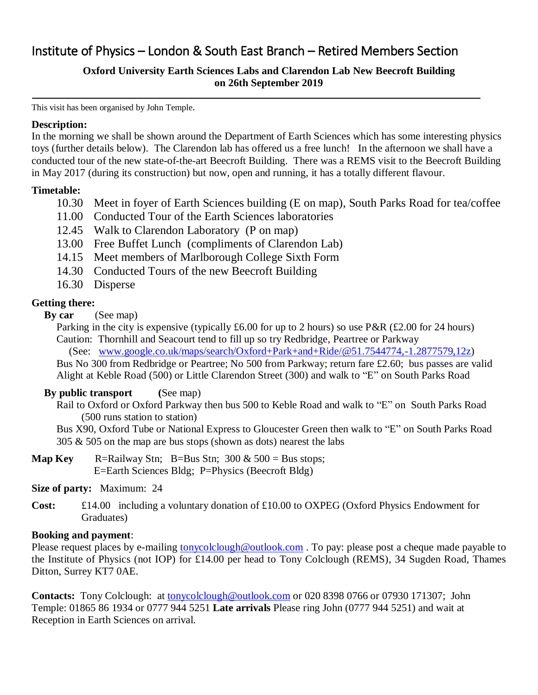### Institute of Physics – London & South East Branch – Retired Members Section

### **Oxford University Earth Sciences Labs and Clarendon Lab New Beecroft Building on 26th September 2019**

This visit has been organised by John Temple.

#### **Description:**

In the morning we shall be shown around the Department of Earth Sciences which has some interesting physics toys (further details below). The Clarendon lab has offered us a free lunch! In the afternoon we shall have a conducted tour of the new state-of-the-art Beecroft Building. There was a REMS visit to the Beecroft Building in May 2017 (during its construction) but now, open and running, it has a totally different flavour.

#### **Timetable:**

- 10.30 Meet in foyer of Earth Sciences building (E on map), South Parks Road for tea/coffee
- 11.00 Conducted Tour of the Earth Sciences laboratories
- 12.45 Walk to Clarendon Laboratory (P on map)
- 13.00 Free Buffet Lunch (compliments of Clarendon Lab)
- 14.15 Meet members of Marlborough College Sixth Form
- 14.30 Conducted Tours of the new Beecroft Building
- 16.30 Disperse

#### **Getting there:**

**By car** (See map)

Parking in the city is expensive (typically £6.00 for up to 2 hours) so use P&R (£2.00 for 24 hours) Caution: Thornhill and Seacourt tend to fill up so try Redbridge, Peartree or Parkway

(See: [www.google.co.uk/maps/search/Oxford+Park+and+Ride/@51.7544774,-1.2877579,12z\)](http://www.google.co.uk/maps/search/Oxford+Park+and+Ride/@51.7544774,-1.2877579,12z)

Bus No 300 from Redbridge or Peartree; No 500 from Parkway; return fare £2.60; bus passes are valid Alight at Keble Road (500) or Little Clarendon Street (300) and walk to "E" on South Parks Road

#### **By public transport (**See map)

Rail to Oxford or Oxford Parkway then bus 500 to Keble Road and walk to "E" on South Parks Road (500 runs station to station)

Bus X90, Oxford Tube or National Express to Gloucester Green then walk to "E" on South Parks Road  $305 \& 505$  on the map are bus stops (shown as dots) nearest the labs

**Map Key** R=Railway Stn; B=Bus Stn;  $300 \& 500 = \text{Bus stops}$ ; E=Earth Sciences Bldg; P=Physics (Beecroft Bldg)

#### **Size of party:** Maximum: 24

**Cost:** £14.00 including a voluntary donation of £10.00 to OXPEG (Oxford Physics Endowment for Graduates)

#### **Booking and payment**:

Please request places by e-mailing [tonycolclough@outlook.com](mailto:tonycolclough@outlook.com). To pay: please post a cheque made payable to the Institute of Physics (not IOP) for £14.00 per head to Tony Colclough (REMS), 34 Sugden Road, Thames Ditton, Surrey KT7 0AE.

**Contacts:** Tony Colclough: at [tonycolclough@outlook.com](mailto:tonycolclough@outlook.com) or 020 8398 0766 or 07930 171307; John Temple: 01865 86 1934 or 0777 944 5251 **Late arrivals** Please ring John (0777 944 5251) and wait at Reception in Earth Sciences on arrival.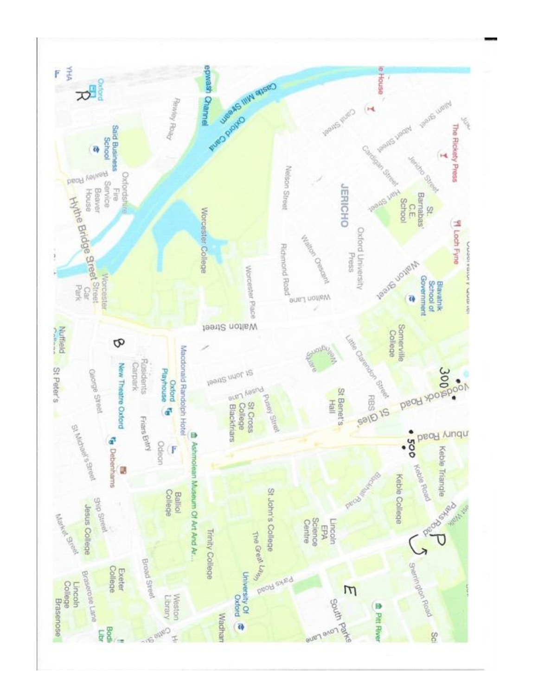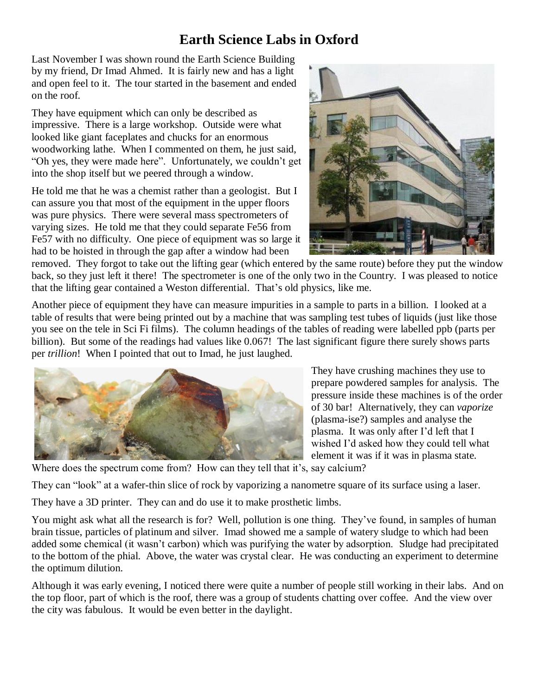## **Earth Science Labs in Oxford**

Last November I was shown round the Earth Science Building by my friend, Dr Imad Ahmed. It is fairly new and has a light and open feel to it. The tour started in the basement and ended on the roof.

They have equipment which can only be described as impressive. There is a large workshop. Outside were what looked like giant faceplates and chucks for an enormous woodworking lathe. When I commented on them, he just said, "Oh yes, they were made here". Unfortunately, we couldn't get into the shop itself but we peered through a window.

He told me that he was a chemist rather than a geologist. But I can assure you that most of the equipment in the upper floors was pure physics. There were several mass spectrometers of varying sizes. He told me that they could separate Fe56 from Fe57 with no difficulty. One piece of equipment was so large it had to be hoisted in through the gap after a window had been



removed. They forgot to take out the lifting gear (which entered by the same route) before they put the window back, so they just left it there! The spectrometer is one of the only two in the Country. I was pleased to notice that the lifting gear contained a Weston differential. That's old physics, like me.

Another piece of equipment they have can measure impurities in a sample to parts in a billion. I looked at a table of results that were being printed out by a machine that was sampling test tubes of liquids (just like those you see on the tele in Sci Fi films). The column headings of the tables of reading were labelled ppb (parts per billion). But some of the readings had values like 0.067! The last significant figure there surely shows parts per *trillion*! When I pointed that out to Imad, he just laughed.



They have crushing machines they use to prepare powdered samples for analysis. The pressure inside these machines is of the order of 30 bar! Alternatively, they can *vaporize* (plasma-ise?) samples and analyse the plasma. It was only after I'd left that I wished I'd asked how they could tell what element it was if it was in plasma state.

Where does the spectrum come from? How can they tell that it's, say calcium?

They can "look" at a wafer-thin slice of rock by vaporizing a nanometre square of its surface using a laser.

They have a 3D printer. They can and do use it to make prosthetic limbs.

You might ask what all the research is for? Well, pollution is one thing. They've found, in samples of human brain tissue, particles of platinum and silver. Imad showed me a sample of watery sludge to which had been added some chemical (it wasn't carbon) which was purifying the water by adsorption. Sludge had precipitated to the bottom of the phial. Above, the water was crystal clear. He was conducting an experiment to determine the optimum dilution.

Although it was early evening, I noticed there were quite a number of people still working in their labs. And on the top floor, part of which is the roof, there was a group of students chatting over coffee. And the view over the city was fabulous. It would be even better in the daylight.